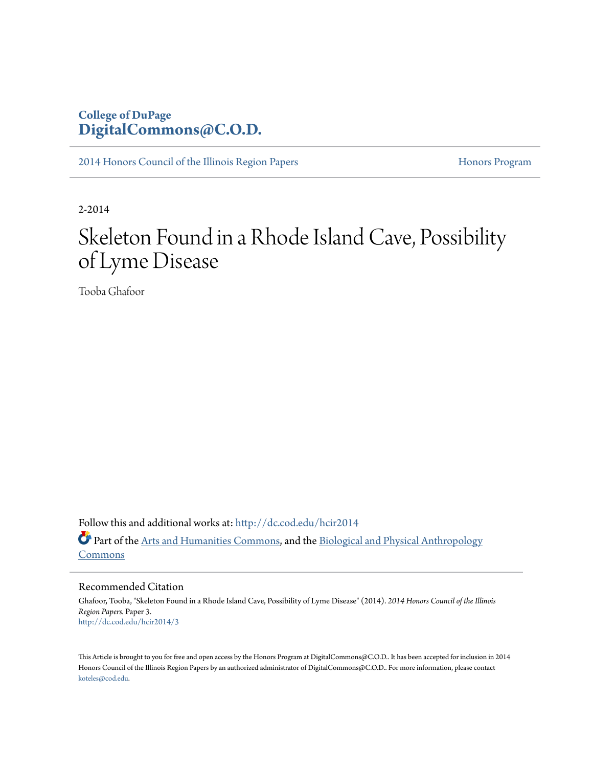## **College of DuPage [DigitalCommons@C.O.D.](http://dc.cod.edu?utm_source=dc.cod.edu%2Fhcir2014%2F3&utm_medium=PDF&utm_campaign=PDFCoverPages)**

[2014 Honors Council of the Illinois Region Papers](http://dc.cod.edu/hcir2014?utm_source=dc.cod.edu%2Fhcir2014%2F3&utm_medium=PDF&utm_campaign=PDFCoverPages) [Honors Program](http://dc.cod.edu/honors?utm_source=dc.cod.edu%2Fhcir2014%2F3&utm_medium=PDF&utm_campaign=PDFCoverPages) Honors Program

2-2014

# Skeleton Found in a Rhode Island Cave, Possibility of Lyme Disease

Tooba Ghafoor

Follow this and additional works at: [http://dc.cod.edu/hcir2014](http://dc.cod.edu/hcir2014?utm_source=dc.cod.edu%2Fhcir2014%2F3&utm_medium=PDF&utm_campaign=PDFCoverPages) Part of the [Arts and Humanities Commons](http://network.bepress.com/hgg/discipline/438?utm_source=dc.cod.edu%2Fhcir2014%2F3&utm_medium=PDF&utm_campaign=PDFCoverPages), and the [Biological and Physical Anthropology](http://network.bepress.com/hgg/discipline/320?utm_source=dc.cod.edu%2Fhcir2014%2F3&utm_medium=PDF&utm_campaign=PDFCoverPages) [Commons](http://network.bepress.com/hgg/discipline/320?utm_source=dc.cod.edu%2Fhcir2014%2F3&utm_medium=PDF&utm_campaign=PDFCoverPages)

Recommended Citation

Ghafoor, Tooba, "Skeleton Found in a Rhode Island Cave, Possibility of Lyme Disease" (2014). *2014 Honors Council of the Illinois Region Papers.* Paper 3. [http://dc.cod.edu/hcir2014/3](http://dc.cod.edu/hcir2014/3?utm_source=dc.cod.edu%2Fhcir2014%2F3&utm_medium=PDF&utm_campaign=PDFCoverPages)

This Article is brought to you for free and open access by the Honors Program at DigitalCommons@C.O.D.. It has been accepted for inclusion in 2014 Honors Council of the Illinois Region Papers by an authorized administrator of DigitalCommons@C.O.D.. For more information, please contact [koteles@cod.edu](mailto:koteles@cod.edu).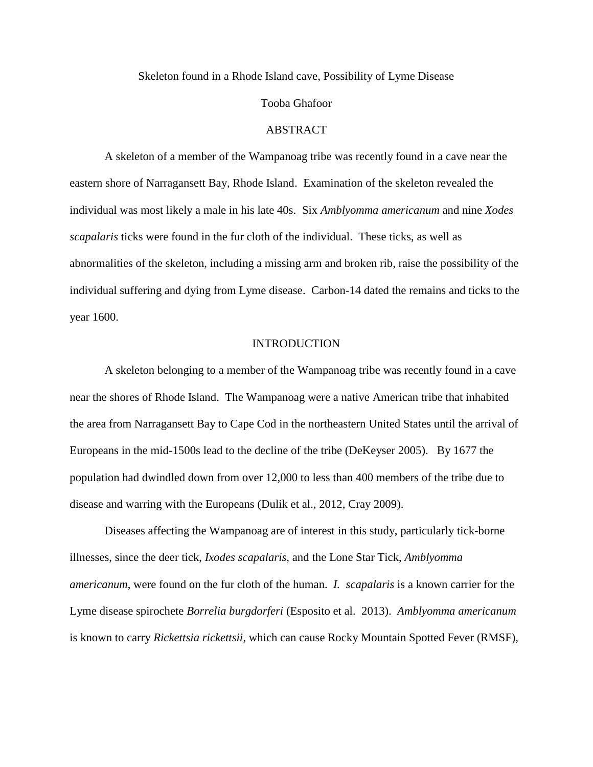Skeleton found in a Rhode Island cave, Possibility of Lyme Disease

#### Tooba Ghafoor

#### **ABSTRACT**

A skeleton of a member of the Wampanoag tribe was recently found in a cave near the eastern shore of Narragansett Bay, Rhode Island. Examination of the skeleton revealed the individual was most likely a male in his late 40s. Six *Amblyomma americanum* and nine *Xodes scapalaris* ticks were found in the fur cloth of the individual. These ticks, as well as abnormalities of the skeleton, including a missing arm and broken rib, raise the possibility of the individual suffering and dying from Lyme disease. Carbon-14 dated the remains and ticks to the year 1600.

#### INTRODUCTION

A skeleton belonging to a member of the Wampanoag tribe was recently found in a cave near the shores of Rhode Island. The Wampanoag were a native American tribe that inhabited the area from Narragansett Bay to Cape Cod in the northeastern United States until the arrival of Europeans in the mid-1500s lead to the decline of the tribe (DeKeyser 2005). By 1677 the population had dwindled down from over 12,000 to less than 400 members of the tribe due to disease and warring with the Europeans (Dulik et al., 2012, Cray 2009).

Diseases affecting the Wampanoag are of interest in this study, particularly tick-borne illnesses, since the deer tick, *Ixodes scapalaris,* and the Lone Star Tick, *Amblyomma americanum*, were found on the fur cloth of the human. *I. scapalaris* is a known carrier for the Lyme disease spirochete *Borrelia burgdorferi* (Esposito et al. 2013). *Amblyomma americanum* is known to carry *Rickettsia rickettsii*, which can cause Rocky Mountain Spotted Fever (RMSF),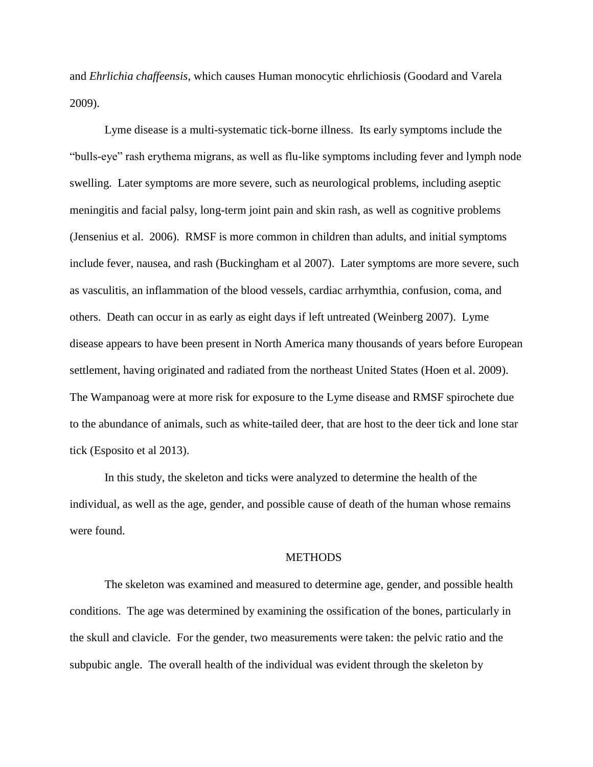and *Ehrlichia chaffeensis*, which causes Human monocytic ehrlichiosis (Goodard and Varela 2009).

Lyme disease is a multi-systematic tick-borne illness. Its early symptoms include the "bulls-eye" rash erythema migrans, as well as flu-like symptoms including fever and lymph node swelling. Later symptoms are more severe, such as neurological problems, including aseptic meningitis and facial palsy, long-term joint pain and skin rash, as well as cognitive problems (Jensenius et al. 2006). RMSF is more common in children than adults, and initial symptoms include fever, nausea, and rash (Buckingham et al 2007). Later symptoms are more severe, such as vasculitis, an inflammation of the blood vessels, cardiac arrhymthia, confusion, coma, and others. Death can occur in as early as eight days if left untreated (Weinberg 2007). Lyme disease appears to have been present in North America many thousands of years before European settlement, having originated and radiated from the northeast United States (Hoen et al. 2009). The Wampanoag were at more risk for exposure to the Lyme disease and RMSF spirochete due to the abundance of animals, such as white-tailed deer, that are host to the deer tick and lone star tick (Esposito et al 2013).

In this study, the skeleton and ticks were analyzed to determine the health of the individual, as well as the age, gender, and possible cause of death of the human whose remains were found.

#### **METHODS**

The skeleton was examined and measured to determine age, gender, and possible health conditions. The age was determined by examining the ossification of the bones, particularly in the skull and clavicle. For the gender, two measurements were taken: the pelvic ratio and the subpubic angle. The overall health of the individual was evident through the skeleton by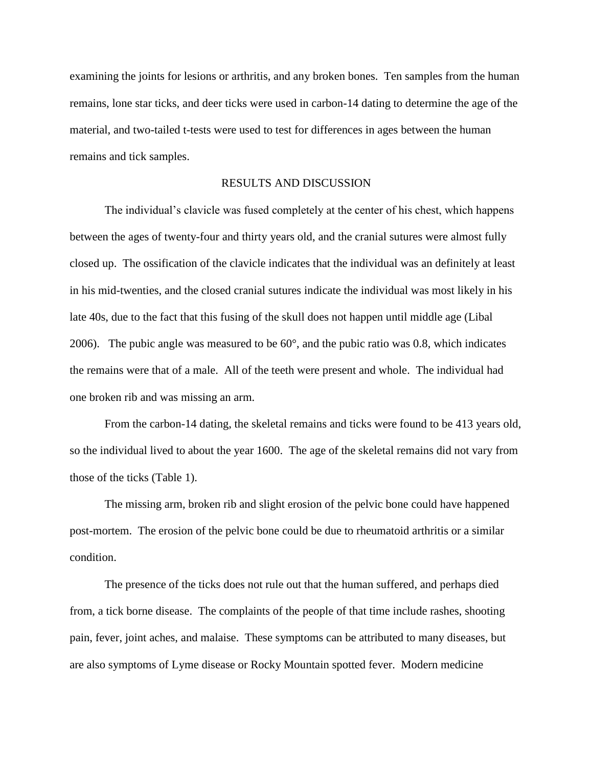examining the joints for lesions or arthritis, and any broken bones. Ten samples from the human remains, lone star ticks, and deer ticks were used in carbon-14 dating to determine the age of the material, and two-tailed t-tests were used to test for differences in ages between the human remains and tick samples.

### RESULTS AND DISCUSSION

The individual's clavicle was fused completely at the center of his chest, which happens between the ages of twenty-four and thirty years old, and the cranial sutures were almost fully closed up. The ossification of the clavicle indicates that the individual was an definitely at least in his mid-twenties, and the closed cranial sutures indicate the individual was most likely in his late 40s, due to the fact that this fusing of the skull does not happen until middle age (Libal 2006). The pubic angle was measured to be  $60^{\circ}$ , and the pubic ratio was 0.8, which indicates the remains were that of a male. All of the teeth were present and whole. The individual had one broken rib and was missing an arm.

From the carbon-14 dating, the skeletal remains and ticks were found to be 413 years old, so the individual lived to about the year 1600. The age of the skeletal remains did not vary from those of the ticks (Table 1).

The missing arm, broken rib and slight erosion of the pelvic bone could have happened post-mortem. The erosion of the pelvic bone could be due to rheumatoid arthritis or a similar condition.

The presence of the ticks does not rule out that the human suffered, and perhaps died from, a tick borne disease. The complaints of the people of that time include rashes, shooting pain, fever, joint aches, and malaise. These symptoms can be attributed to many diseases, but are also symptoms of Lyme disease or Rocky Mountain spotted fever. Modern medicine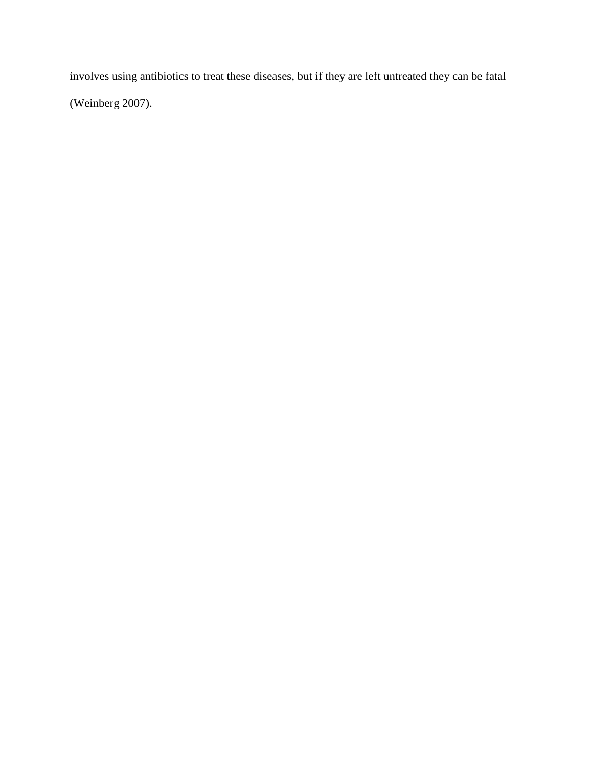involves using antibiotics to treat these diseases, but if they are left untreated they can be fatal (Weinberg 2007).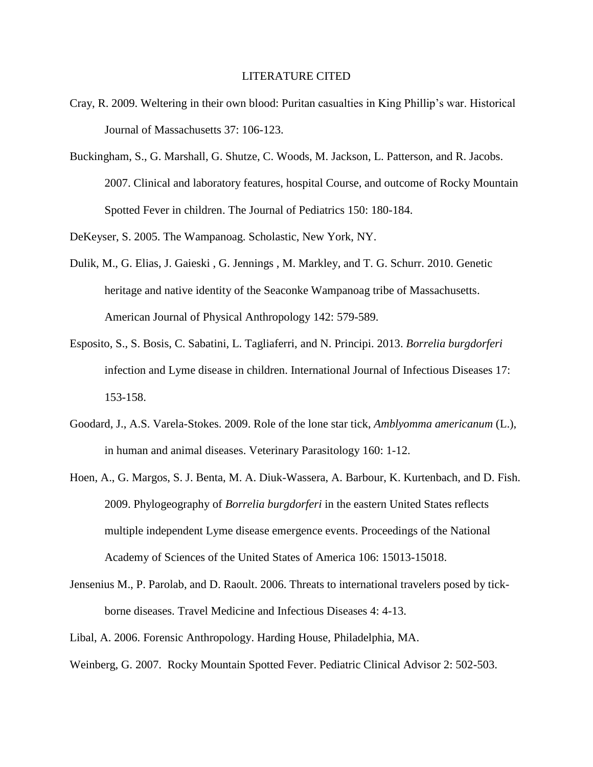#### LITERATURE CITED

- Cray, R. 2009. Weltering in their own blood: Puritan casualties in King Phillip's war. Historical Journal of Massachusetts 37: 106-123.
- Buckingham, S., G. Marshall, G. Shutze, C. Woods, M. Jackson, L. Patterson, and R. Jacobs. 2007. Clinical and laboratory features, hospital Course, and outcome of Rocky Mountain Spotted Fever in children. The Journal of Pediatrics 150: 180-184.

DeKeyser, S. 2005. The Wampanoag. Scholastic, New York, NY.

- Dulik, M., G. Elias, J. Gaieski , G. Jennings , M. Markley, and T. G. Schurr. 2010. Genetic heritage and native identity of the Seaconke Wampanoag tribe of Massachusetts. American Journal of Physical Anthropology 142: 579-589.
- Esposito, S., S. Bosis, C. Sabatini, L. Tagliaferri, and N. Principi. 2013. *Borrelia burgdorferi* infection and Lyme disease in children. International Journal of Infectious Diseases 17: 153-158.
- Goodard, J., A.S. Varela-Stokes. 2009. Role of the lone star tick, *Amblyomma americanum* (L.), in human and animal diseases. Veterinary Parasitology 160: 1-12.
- Hoen, A., G. Margos, S. J. Benta, M. A. Diuk-Wassera, A. Barbour, K. Kurtenbach, and D. Fish. 2009. Phylogeography of *Borrelia burgdorferi* in the eastern United States reflects multiple independent Lyme disease emergence events. Proceedings of the National Academy of Sciences of the United States of America 106: 15013-15018.
- Jensenius M., P. Parolab, and D. Raoult. 2006. Threats to international travelers posed by tickborne diseases. Travel Medicine and Infectious Diseases 4: 4-13.
- Libal, A. 2006. Forensic Anthropology. Harding House, Philadelphia, MA.
- Weinberg, G. 2007. Rocky Mountain Spotted Fever. Pediatric Clinical Advisor 2: 502-503.